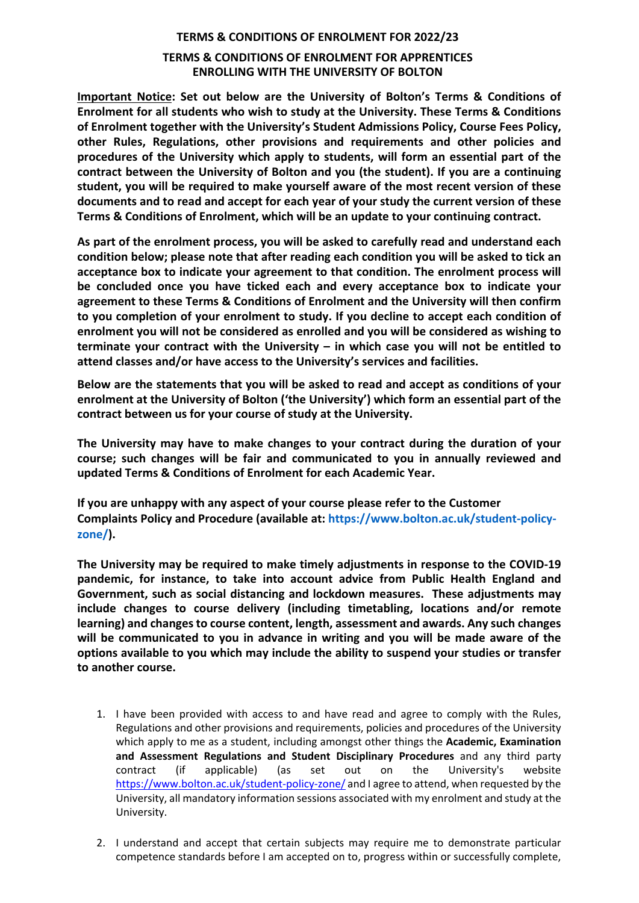## **TERMS & CONDITIONS OF ENROLMENT FOR 2022/23 TERMS & CONDITIONS OF ENROLMENT FOR APPRENTICES ENROLLING WITH THE UNIVERSITY OF BOLTON**

**Important Notice: Set out below are the University of Bolton's Terms & Conditions of Enrolment for all students who wish to study at the University. These Terms & Conditions of Enrolment together with the University's Student Admissions Policy, Course Fees Policy, other Rules, Regulations, other provisions and requirements and other policies and procedures of the University which apply to students, will form an essential part of the contract between the University of Bolton and you (the student). If you are a continuing student, you will be required to make yourself aware of the most recent version of these documents and to read and accept for each year of your study the current version of these Terms & Conditions of Enrolment, which will be an update to your continuing contract.**

**As part of the enrolment process, you will be asked to carefully read and understand each condition below; please note that after reading each condition you will be asked to tick an acceptance box to indicate your agreement to that condition. The enrolment process will be concluded once you have ticked each and every acceptance box to indicate your agreement to these Terms & Conditions of Enrolment and the University will then confirm to you completion of your enrolment to study. If you decline to accept each condition of enrolment you will not be considered as enrolled and you will be considered as wishing to terminate your contract with the University – in which case you will not be entitled to attend classes and/or have access to the University's services and facilities.**

**Below are the statements that you will be asked to read and accept as conditions of your enrolment at the University of Bolton ('the University') which form an essential part of the contract between us for your course of study at the University.**

**The University may have to make changes to your contract during the duration of your course; such changes will be fair and communicated to you in annually reviewed and updated Terms & Conditions of Enrolment for each Academic Year.**

**If you are unhappy with any aspect of your course please refer to the Customer Complaints Policy and Procedure (available at: https://www.bolton.ac.uk/student-policyzone/).** 

**The University may be required to make timely adjustments in response to the COVID-19 pandemic, for instance, to take into account advice from Public Health England and Government, such as social distancing and lockdown measures. These adjustments may include changes to course delivery (including timetabling, locations and/or remote learning) and changes to course content, length, assessment and awards. Any such changes will be communicated to you in advance in writing and you will be made aware of the options available to you which may include the ability to suspend your studies or transfer to another course.**

- 1. I have been provided with access to and have read and agree to comply with the Rules, Regulations and other provisions and requirements, policies and procedures of the University which apply to me as a student, including amongst other things the **Academic, Examination and Assessment Regulations and Student Disciplinary Procedures** and any third party contract (if applicable) (as set out on the University's website <https://www.bolton.ac.uk/student-policy-zone/> and I agree to attend, when requested by the University, all mandatory information sessions associated with my enrolment and study at the University.
- 2. I understand and accept that certain subjects may require me to demonstrate particular competence standards before I am accepted on to, progress within or successfully complete,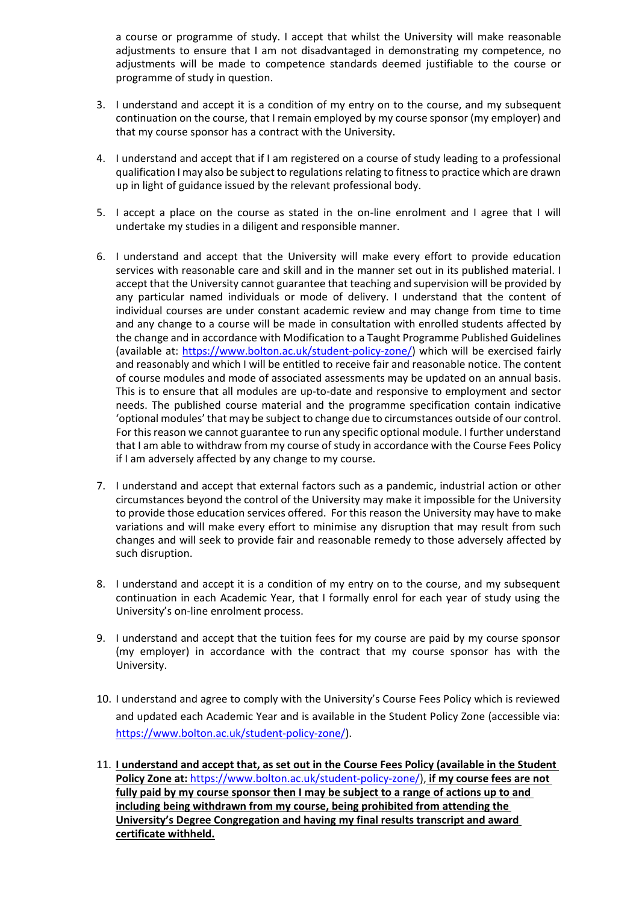a course or programme of study. I accept that whilst the University will make reasonable adjustments to ensure that I am not disadvantaged in demonstrating my competence, no adjustments will be made to competence standards deemed justifiable to the course or programme of study in question.

- 3. I understand and accept it is a condition of my entry on to the course, and my subsequent continuation on the course, that I remain employed by my course sponsor (my employer) and that my course sponsor has a contract with the University.
- 4. I understand and accept that if I am registered on a course of study leading to a professional qualification I may also be subject to regulations relating to fitness to practice which are drawn up in light of guidance issued by the relevant professional body.
- 5. I accept a place on the course as stated in the on-line enrolment and I agree that I will undertake my studies in a diligent and responsible manner.
- 6. I understand and accept that the University will make every effort to provide education services with reasonable care and skill and in the manner set out in its published material. I accept that the University cannot guarantee that teaching and supervision will be provided by any particular named individuals or mode of delivery. I understand that the content of individual courses are under constant academic review and may change from time to time and any change to a course will be made in consultation with enrolled students affected by the change and in accordance with Modification to a Taught Programme Published Guidelines (available at: [https://www.bolton.ac.uk/student-policy-zone/\)](https://www.bolton.ac.uk/student-policy-zone/) which will be exercised fairly and reasonably and which I will be entitled to receive fair and reasonable notice. The content of course modules and mode of associated assessments may be updated on an annual basis. This is to ensure that all modules are up-to-date and responsive to employment and sector needs. The published course material and the programme specification contain indicative 'optional modules' that may be subject to change due to circumstances outside of our control. For this reason we cannot guarantee to run any specific optional module. I further understand that I am able to withdraw from my course of study in accordance with the Course Fees Policy if I am adversely affected by any change to my course.
- 7. I understand and accept that external factors such as a pandemic, industrial action or other circumstances beyond the control of the University may make it impossible for the University to provide those education services offered. For this reason the University may have to make variations and will make every effort to minimise any disruption that may result from such changes and will seek to provide fair and reasonable remedy to those adversely affected by such disruption.
- 8. I understand and accept it is a condition of my entry on to the course, and my subsequent continuation in each Academic Year, that I formally enrol for each year of study using the University's on-line enrolment process.
- 9. I understand and accept that the tuition fees for my course are paid by my course sponsor (my employer) in accordance with the contract that my course sponsor has with the University.
- 10. I understand and agree to comply with the University's Course Fees Policy which is reviewed and updated each Academic Year and is available in the Student Policy Zone (accessible via: [https://www.bolton.ac.uk/student-policy-zone/\)](https://www.bolton.ac.uk/student-policy-zone/).
- 11. **I understand and accept that, as set out in the Course Fees Policy (available in the Student Policy Zone at:** [https://www.bolton.ac.uk/student-policy-zone/\)](https://www.bolton.ac.uk/student-policy-zone/), **if my course fees are not fully paid by my course sponsor then I may be subject to a range of actions up to and including being withdrawn from my course, being prohibited from attending the University's Degree Congregation and having my final results transcript and award certificate withheld.**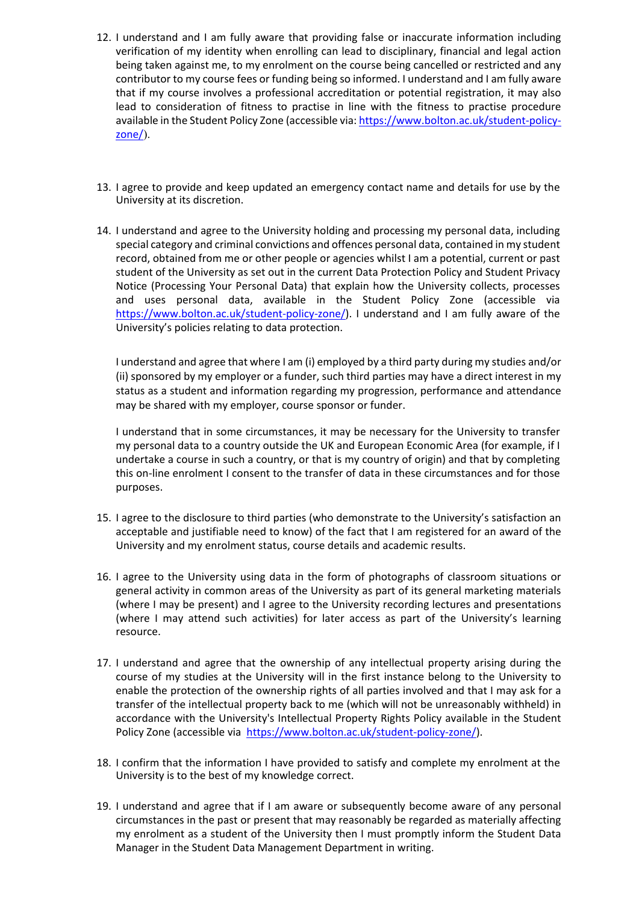- 12. I understand and I am fully aware that providing false or inaccurate information including verification of my identity when enrolling can lead to disciplinary, financial and legal action being taken against me, to my enrolment on the course being cancelled or restricted and any contributor to my course fees or funding being so informed. I understand and I am fully aware that if my course involves a professional accreditation or potential registration, it may also lead to consideration of fitness to practise in line with the fitness to practise procedure available in the Student Policy Zone (accessible via: [https://www.bolton.ac.uk/student-policy](https://www.bolton.ac.uk/student-policy-zone/)[zone/](https://www.bolton.ac.uk/student-policy-zone/)).
- 13. I agree to provide and keep updated an emergency contact name and details for use by the University at its discretion.
- 14. I understand and agree to the University holding and processing my personal data, including special category and criminal convictions and offences personal data, contained in my student record, obtained from me or other people or agencies whilst I am a potential, current or past student of the University as set out in the current Data Protection Policy and Student Privacy Notice (Processing Your Personal Data) that explain how the University collects, processes and uses personal data, available in the Student Policy Zone (accessible via [https://www.bolton.ac.uk/student-policy-zone/\)](https://www.bolton.ac.uk/student-policy-zone/). I understand and I am fully aware of the University's policies relating to data protection.

I understand and agree that where I am (i) employed by a third party during my studies and/or (ii) sponsored by my employer or a funder, such third parties may have a direct interest in my status as a student and information regarding my progression, performance and attendance may be shared with my employer, course sponsor or funder.

I understand that in some circumstances, it may be necessary for the University to transfer my personal data to a country outside the UK and European Economic Area (for example, if I undertake a course in such a country, or that is my country of origin) and that by completing this on-line enrolment I consent to the transfer of data in these circumstances and for those purposes.

- 15. I agree to the disclosure to third parties (who demonstrate to the University's satisfaction an acceptable and justifiable need to know) of the fact that I am registered for an award of the University and my enrolment status, course details and academic results.
- 16. I agree to the University using data in the form of photographs of classroom situations or general activity in common areas of the University as part of its general marketing materials (where I may be present) and I agree to the University recording lectures and presentations (where I may attend such activities) for later access as part of the University's learning resource.
- 17. I understand and agree that the ownership of any intellectual property arising during the course of my studies at the University will in the first instance belong to the University to enable the protection of the ownership rights of all parties involved and that I may ask for a transfer of the intellectual property back to me (which will not be unreasonably withheld) in accordance with the University's Intellectual Property Rights Policy available in the Student Policy Zone (accessible via [https://www.bolton.ac.uk/student-policy-zone/\)](https://www.bolton.ac.uk/student-policy-zone/).
- 18. I confirm that the information I have provided to satisfy and complete my enrolment at the University is to the best of my knowledge correct.
- 19. I understand and agree that if I am aware or subsequently become aware of any personal circumstances in the past or present that may reasonably be regarded as materially affecting my enrolment as a student of the University then I must promptly inform the Student Data Manager in the Student Data Management Department in writing.